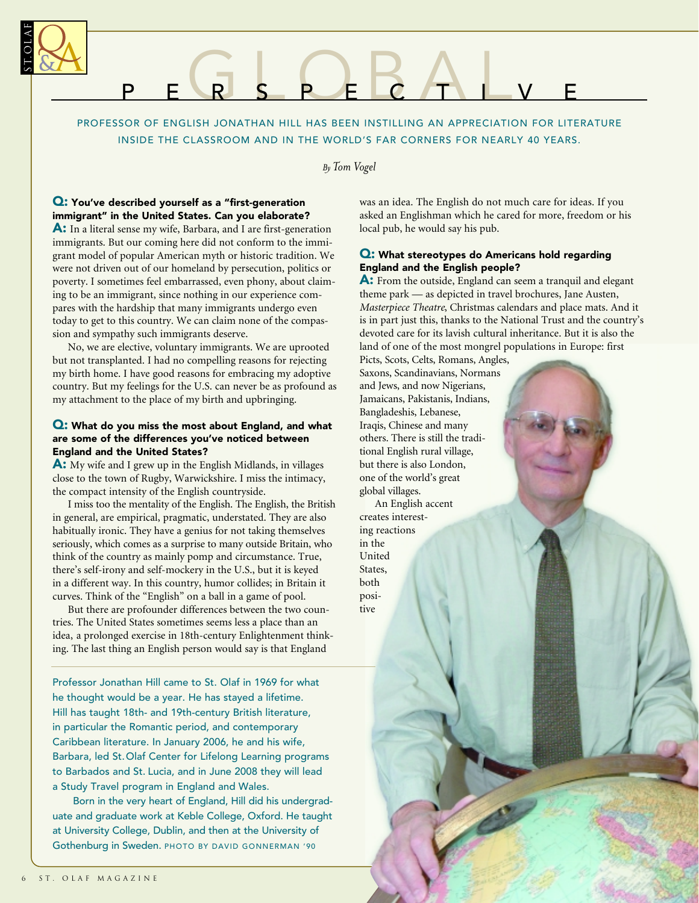

# PEGS PEBALVE

PROFESSOR OF ENGLISH JONATHAN HILL HAS BEEN INSTILLING AN APPRECIATION FOR LITERATURE INSIDE THE CLASSROOM AND IN THE WORLD'S FAR CORNERS FOR NEARLY 40 YEARS.

*By Tom Vogel*

# Q: You've described yourself as a "first-generation immigrant" in the United States. Can you elaborate?

A: In a literal sense my wife, Barbara, and I are first-generation immigrants. But our coming here did not conform to the immigrant model of popular American myth or historic tradition. We were not driven out of our homeland by persecution, politics or poverty. I sometimes feel embarrassed, even phony, about claiming to be an immigrant, since nothing in our experience compares with the hardship that many immigrants undergo even today to get to this country. We can claim none of the compassion and sympathy such immigrants deserve.

No, we are elective, voluntary immigrants. We are uprooted but not transplanted. I had no compelling reasons for rejecting my birth home. I have good reasons for embracing my adoptive country. But my feelings for the U.S. can never be as profound as my attachment to the place of my birth and upbringing.

### Q: What do you miss the most about England, and what are some of the differences you've noticed between England and the United States?

A: My wife and I grew up in the English Midlands, in villages close to the town of Rugby, Warwickshire. I miss the intimacy, the compact intensity of the English countryside.

I miss too the mentality of the English. The English, the British in general, are empirical, pragmatic, understated. They are also habitually ironic. They have a genius for not taking themselves seriously, which comes as a surprise to many outside Britain, who think of the country as mainly pomp and circumstance. True, there's self-irony and self-mockery in the U.S., but it is keyed in a different way. In this country, humor collides; in Britain it curves. Think of the "English" on a ball in a game of pool.

But there are profounder differences between the two countries. The United States sometimes seems less a place than an idea, a prolonged exercise in 18th-century Enlightenment thinking. The last thing an English person would say is that England

Professor Jonathan Hill came to St. Olaf in 1969 for what he thought would be a year. He has stayed a lifetime. Hill has taught 18th- and 19th-century British literature, in particular the Romantic period, and contemporary Caribbean literature. In January 2006, he and his wife, Barbara, led St.Olaf Center for Lifelong Learning programs to Barbados and St. Lucia, and in June 2008 they will lead a Study Travel program in England and Wales.

Born in the very heart of England, Hill did his undergraduate and graduate work at Keble College, Oxford. He taught at University College, Dublin, and then at the University of Gothenburg in Sweden. PHOTO BY DAVID GONNERMAN '90

was an idea. The English do not much care for ideas. If you asked an Englishman which he cared for more, freedom or his local pub, he would say his pub.

## Q: What stereotypes do Americans hold regarding England and the English people?

A: From the outside, England can seem a tranquil and elegant theme park — as depicted in travel brochures, Jane Austen, *Masterpiece Theatre*, Christmas calendars and place mats. And it is in part just this, thanks to the National Trust and the country's devoted care for its lavish cultural inheritance. But it is also the land of one of the most mongrel populations in Europe: first

Picts, Scots, Celts, Romans, Angles, Saxons, Scandinavians, Normans and Jews, and now Nigerians, Jamaicans, Pakistanis, Indians, Bangladeshis, Lebanese, Iraqis, Chinese and many others. There is still the traditional English rural village, but there is also London, one of the world's great global villages. An English accent

creates interesting reactions in the United States,

both positive